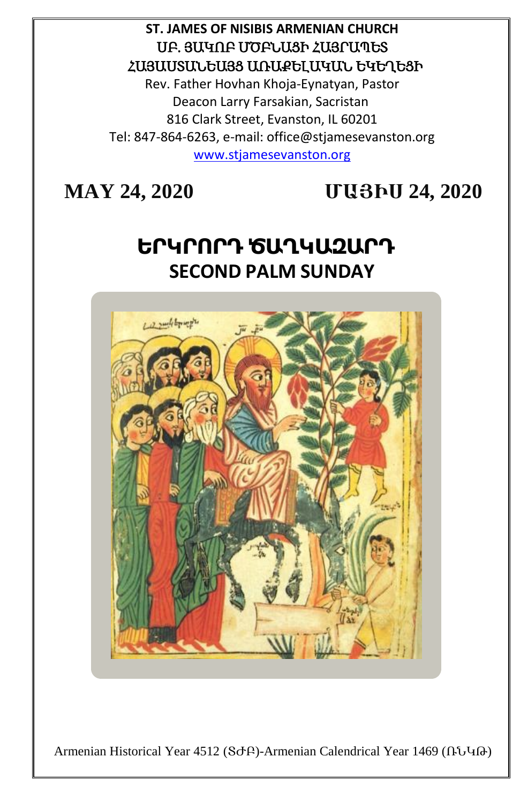## **ST. JAMES OF NISIBIS ARMENIAN CHURCH** ՍԲ. ՅԱԿՈԲ ՄԾԲՆԱՑԻ ՀԱՅՐԱՊԵՏ ՀԱՅԱՍՏԱՆԵԱՅՑ ԱՌԱՔԵԼԱԿԱՆ ԵԿԵՂԵՑԻ

Rev. Father Hovhan Khoja-Eynatyan, Pastor Deacon Larry Farsakian, Sacristan 816 Clark Street, Evanston, IL 60201 Tel: 847-864-6263, e-mail: office@stjamesevanston.org [www.stjamesevanston.org](http://www.stjamesevanston.org/)

**MAY 24, 2020 ՄԱՅԻՍ 24, 2020**

# **ԵՐԿՐՈՐԴ ԾԱՂԿԱԶԱՐԴ SECOND PALM SUNDAY**



Armenian Historical Year 4512 (ՏԺԲ)-Armenian Calendrical Year 1469 (ՌՆԿԹ)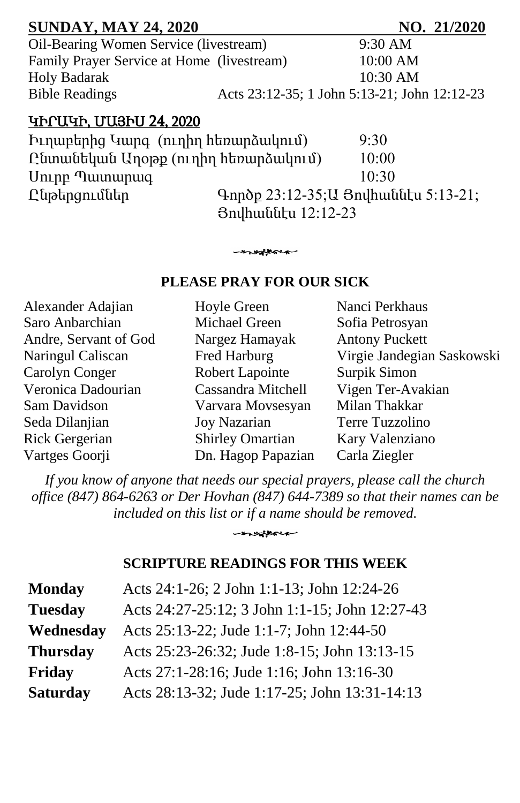| <b>SUNDAY, MAY 24, 2020</b>                |                                                                     |          | NO. 21/2020 |
|--------------------------------------------|---------------------------------------------------------------------|----------|-------------|
| Oil-Bearing Women Service (livestream)     |                                                                     | 9:30 AM  |             |
| Family Prayer Service at Home (livestream) |                                                                     | 10:00 AM |             |
| <b>Holy Badarak</b>                        |                                                                     | 10:30 AM |             |
| <b>Bible Readings</b>                      | Acts 23:12-35; 1 John 5:13-21; John 12:12-23                        |          |             |
| <b><i>YINTUYIN, UUSINU 24, 2020</i></b>    |                                                                     |          |             |
| Իւղաբերից Կարգ (ուղիղ հեռարձակում)         |                                                                     | 9:30     |             |
| Ընտանեկան Աղօթք (ուղիղ հեռարձակում)        |                                                                     | 10:00    |             |
| Uning Tulumunung                           |                                                                     | 10:30    |             |
| Ընթերցումներ                               | Գործք 23:12-35; Ա Յովհաննէս 5:13-21;<br><b>3n</b> ulhuuutu 12:12-23 |          |             |

#### **PLEASE PRAY FOR OUR SICK**

modern

| Alexander Adajian     | Hoyle Green             | Nanci Perkhaus             |
|-----------------------|-------------------------|----------------------------|
| Saro Anbarchian       | Michael Green           | Sofia Petrosyan            |
| Andre, Servant of God | Nargez Hamayak          | <b>Antony Puckett</b>      |
| Naringul Caliscan     | Fred Harburg            | Virgie Jandegian Saskowski |
| Carolyn Conger        | Robert Lapointe         | Surpik Simon               |
| Veronica Dadourian    | Cassandra Mitchell      | Vigen Ter-Avakian          |
| Sam Davidson          | Varvara Movsesyan       | Milan Thakkar              |
| Seda Dilanjian        | <b>Joy Nazarian</b>     | Terre Tuzzolino            |
| <b>Rick Gergerian</b> | <b>Shirley Omartian</b> | Kary Valenziano            |
| Vartges Goorji        | Dn. Hagop Papazian      | Carla Ziegler              |

*If you know of anyone that needs our special prayers, please call the church office (847) 864-6263 or Der Hovhan (847) 644-7389 so that their names can be included on this list or if a name should be removed.*

#### **SCRIPTURE READINGS FOR THIS WEEK**

- modern

| <b>Monday</b>   | Acts 24:1-26; 2 John 1:1-13; John 12:24-26     |
|-----------------|------------------------------------------------|
| <b>Tuesday</b>  | Acts 24:27-25:12; 3 John 1:1-15; John 12:27-43 |
| Wednesday       | Acts 25:13-22; Jude 1:1-7; John 12:44-50       |
| <b>Thursday</b> | Acts 25:23-26:32; Jude 1:8-15; John 13:13-15   |
| Friday          | Acts 27:1-28:16; Jude 1:16; John 13:16-30      |
| <b>Saturday</b> | Acts 28:13-32; Jude 1:17-25; John 13:31-14:13  |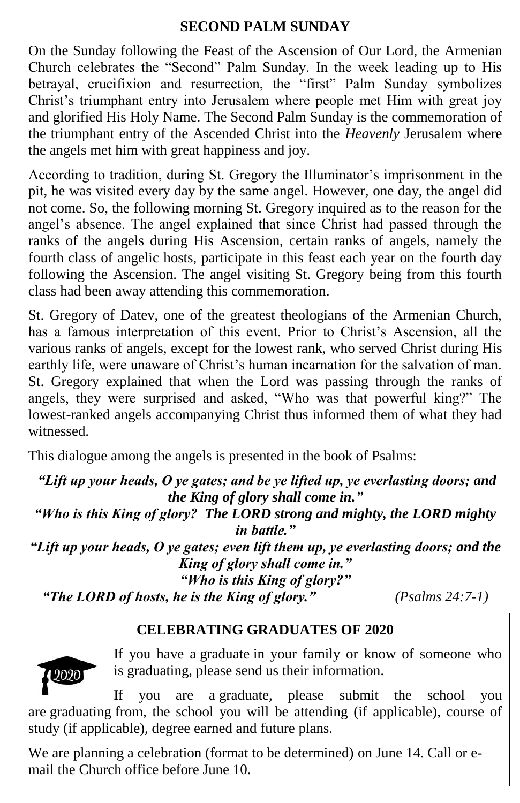#### **SECOND PALM SUNDAY**

On the Sunday following the Feast of the Ascension of Our Lord, the Armenian Church celebrates the "Second" Palm Sunday. In the week leading up to His betrayal, crucifixion and resurrection, the "first" Palm Sunday symbolizes Christ's triumphant entry into Jerusalem where people met Him with great joy and glorified His Holy Name. The Second Palm Sunday is the commemoration of the triumphant entry of the Ascended Christ into the *Heavenly* Jerusalem where the angels met him with great happiness and joy.

According to tradition, during St. Gregory the Illuminator's imprisonment in the pit, he was visited every day by the same angel. However, one day, the angel did not come. So, the following morning St. Gregory inquired as to the reason for the angel's absence. The angel explained that since Christ had passed through the ranks of the angels during His Ascension, certain ranks of angels, namely the fourth class of angelic hosts, participate in this feast each year on the fourth day following the Ascension. The angel visiting St. Gregory being from this fourth class had been away attending this commemoration.

St. Gregory of Datev, one of the greatest theologians of the Armenian Church, has a famous interpretation of this event. Prior to Christ's Ascension, all the various ranks of angels, except for the lowest rank, who served Christ during His earthly life, were unaware of Christ's human incarnation for the salvation of man. St. Gregory explained that when the Lord was passing through the ranks of angels, they were surprised and asked, "Who was that powerful king?" The lowest-ranked angels accompanying Christ thus informed them of what they had witnessed.

This dialogue among the angels is presented in the book of Psalms:

*"Lift up your heads, O ye gates; and be ye lifted up, ye everlasting doors; and the King of glory shall come in." "Who is this King of glory? The LORD strong and mighty, the LORD mighty in battle." "Lift up your heads, O ye gates; even lift them up, ye everlasting doors; and the King of glory shall come in." "Who is this King of glory?" "The LORD of hosts, he is the King of glory." (Psalms 24:7-1)*

## **CELEBRATING GRADUATES OF 2020**



If you have a graduate in your family or know of someone who is graduating, please send us their information.

If you are a graduate, please submit the school you are graduating from, the school you will be attending (if applicable), course of study (if applicable), degree earned and future plans.

We are planning a celebration (format to be determined) on June 14. Call or email the Church office before June 10.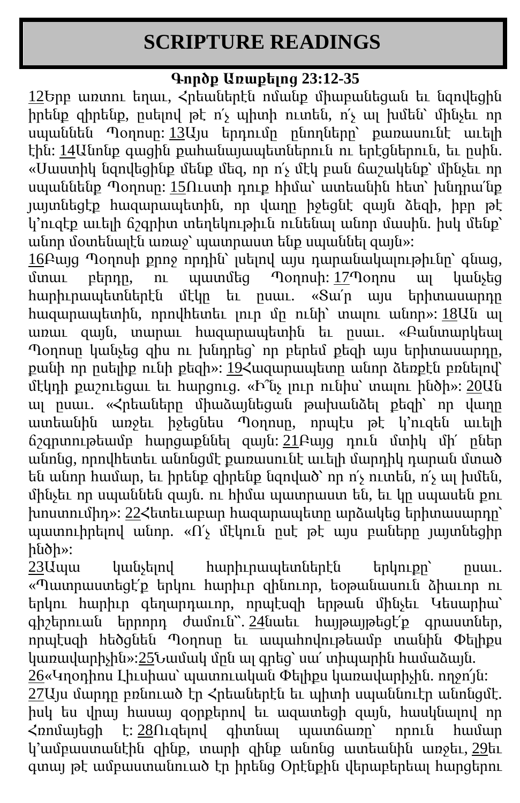## **SCRIPTURE READINGS**

## **Գործք Առաքելոց 23:12-35**

[12Ե](https://biblehub.com/multi/acts/23-12.htm)րբ առտու եղաւ, Հրեաներէն ոմանք միաբանեցան եւ նզովեցին իրենք զիրենք, ըսելով թէ ո՛չ պիտի ուտեն, ո՛չ ալ խմեն՝ մինչեւ որ սպաննեն Պօղոսը: [13Ա](https://biblehub.com/multi/acts/23-13.htm)յս երդումը ընողները՝ քառասունէ աւելի էին: [14Ա](https://biblehub.com/multi/acts/23-14.htm)նոնք գացին քահանայապետներուն ու երէցներուն, եւ ըսին. «Սաստիկ նզովեցինք մենք մեզ, որ ո՛չ մէկ բան ճաշակենք՝ մինչեւ որ սպաննենք Պօղոսը: [15Ո](https://biblehub.com/multi/acts/23-15.htm)ւստի դուք հիմա՝ ատեանին հետ՝ խնդրա՛նք յայտնեցէք հազարապետին, որ վաղը իջեցնէ զայն ձեզի, իբր թէ կ'ուզէք աւելի ճշգրիտ տեղեկութիւն ունենալ անոր մասին. իսկ մենք՝ անոր մօտենալէն առաջ՝ պատրաստ ենք սպաննել զայն»:

[16Բ](https://biblehub.com/multi/acts/23-16.htm)այց Պօղոսի քրոջ որդին՝ լսելով այս դարանակալութիւնը՝ գնաց, մտաւ բերդը, ու պատմեց Պօղոսի: [17Պ](https://biblehub.com/multi/acts/23-17.htm)օղոս ալ կանչեց հարիւրապետներէն մէկը եւ ըսաւ. «Տա՛ր այս երիտասարդը հազարապետին, որովհետեւ լուր մը ունի՝ տալու անոր»: [18Ա](https://biblehub.com/multi/acts/23-18.htm)ն ալ առաւ զայն, տարաւ հազարապետին եւ ըսաւ. «Բանտարկեալ Պօղոսը կանչեց զիս ու խնդրեց՝ որ բերեմ քեզի այս երիտասարդը, քանի որ ըսելիք ունի քեզի»: [19Հ](https://biblehub.com/multi/acts/23-19.htm)ազարապետը անոր ձեռքէն բռնելով՝ մէկդի քաշուեցաւ եւ հարցուց. «Ի՞նչ լուր ունիս՝ տալու ինծի»: [20Ա](https://biblehub.com/multi/acts/23-20.htm)ն ալ ըսաւ. «Հրեաները միաձայնեցան թախանձել քեզի՝ որ վաղը ատեանին առջեւ իջեցնես Պօղոսը, որպէս թէ կ՚ուզեն աւելի ճշգրտութեամբ հարցաքննել զայն: [21Բ](https://biblehub.com/multi/acts/23-21.htm)այց դուն մտիկ մի՛ ըներ անոնց, որովհետեւ անոնցմէ քառասունէ աւելի մարդիկ դարան մտած են անոր համար, եւ իրենք զիրենք նզոված՝ որ ո՛չ ուտեն, ո՛չ ալ խմեն, մինչեւ որ սպաննեն զայն. ու հիմա պատրաստ են, եւ կը սպասեն քու խոստումիդ»: [22Հ](https://biblehub.com/multi/acts/23-22.htm)ետեւաբար հազարապետը արձակեց երիտասարդը՝ պատուիրելով անոր. «Ո՛չ մէկուն ըսէ թէ այս բաները յայտնեցիր ինծի»:

[23Ա](https://biblehub.com/multi/acts/23-23.htm)պա կանչելով հարիւրապետներէն երկուքը՝ ըսաւ. «Պատրաստեցէ՛ք երկու հարիւր զինուոր, եօթանասուն ձիաւոր ու երկու հարիւր գեղարդաւոր, որպէսզի երթան մինչեւ Կեսարիա՝  $q$ իշերուան երրորդ ժամուն՝՝.  $24$ նաեւ հայթայթեցէ՛ք գրաստներ, որպէսզի հեծցնեն Պօղոսը եւ ապահովութեամբ տանին Փելիքս կառավարիչին»[:25Ն](https://biblehub.com/multi/acts/23-25.htm)ամակ մըն ալ գրեց՝ սա՛ տիպարին համաձայն. [26«](https://biblehub.com/multi/acts/23-26.htm)Կղօդիոս Լիւսիաս՝ պատուական Փելիքս կառավարիչին. ողջո՜յն: [27Ա](https://biblehub.com/multi/acts/23-27.htm)յս մարդը բռնուած էր Հրեաներէն եւ պիտի սպաննուէր անոնցմէ. իսկ ես վրայ հասայ զօրքերով եւ ազատեցի զայն, հասկնալով որ Հռոմայեցի է: [28Ո](https://biblehub.com/multi/acts/23-28.htm)ւզելով գիտնալ պատճառը՝ որուն համար կ՚ամբաստանէին զինք, տարի զինք անոնց ատեանին առջեւ, [29ե](https://biblehub.com/multi/acts/23-29.htm)ւ

գտայ թէ ամբաստանուած էր իրենց Օրէնքին վերաբերեալ հարցերու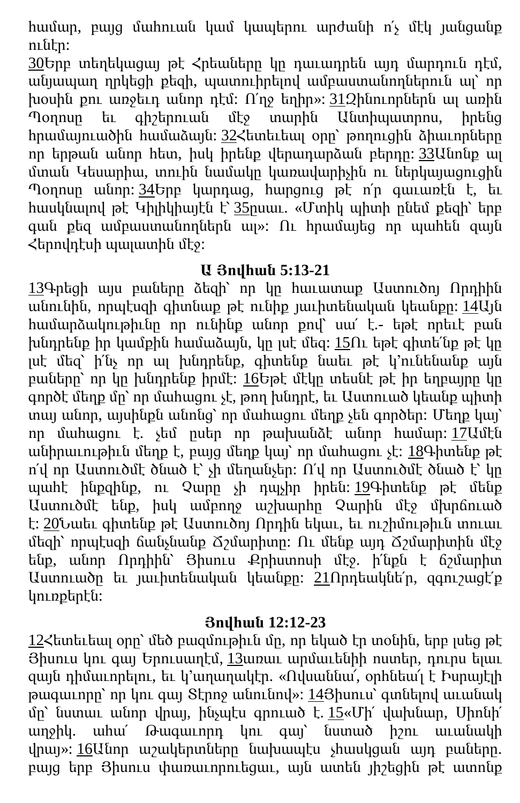համար, բայց մահուան կամ կապերու արժանի ո՛չ մէկ յանցանք ունէր:

[30Ե](https://biblehub.com/multi/acts/23-30.htm)րբ տեղեկացայ թէ Հրեաները կը դաւադրեն այդ մարդուն դէմ, անյապաղ ղրկեցի քեզի, պատուիրելով ամբաստանողներուն ալ՝ որ խօսին քու առջեւդ անոր դէմ: Ո՛ղջ եղիր»: 312 ինուորներն ալ առին Պօղոսը եւ գիշերուան մէջ տարին Անտիպատրոս, իրենց հրամայուածին համաձայն: [32Հ](https://biblehub.com/multi/acts/23-32.htm)ետեւեալ օրը՝ թողուցին ձիաւորները որ երթան անոր հետ, իսկ իրենք վերադարձան բերդը: [33Ա](https://biblehub.com/multi/acts/23-33.htm)նոնք ալ մտան Կեսարիա, տուին նամակը կառավարիչին ու ներկայացուցին Պօղոսը անոր: [34Ե](https://biblehub.com/multi/acts/23-34.htm)րբ կարդաց, հարցուց թէ ո՛ր գաւառէն է, եւ հասկնալով թէ Կիլիկիայէն է՝ [35ը](https://biblehub.com/multi/acts/23-35.htm)սաւ. «Մտիկ պիտի ընեմ քեզի՝ երբ գան քեզ ամբաստանողներն ալ»: Ու հրամայեց որ պահեն զայն Հերովդէսի պալատին մէջ:

## **Ա Յովհան 5:13-21**

[13Գ](https://biblehub.com/multi/1_john/5-13.htm)րեցի այս բաները ձեզի՝ որ կը հաւատաք Աստուծոյ Որդիին անունին, որպէսզի գիտնաք թէ ունիք յաւիտենական կեանքը: [14Ա](https://biblehub.com/multi/1_john/5-14.htm)յն համարձակութիւնը որ ունինք անոր քով՝ սա՛ է.- եթէ որեւէ բան խնդրենք իր կամքին համաձայն, կը լսէ մեզ: [15Ո](https://biblehub.com/multi/1_john/5-15.htm)ւ եթէ գիտե՛նք թէ կը լսէ մեզ՝ ի՛նչ որ ալ խնդրենք, գիտենք նաեւ թէ կ՚ունենանք այն բաները՝ որ կը խնդրենք իրմէ: [16Ե](https://biblehub.com/multi/1_john/5-16.htm)թէ մէկը տեսնէ թէ իր եղբայրը կը գործէ մեղք մը՝ որ մահացու չէ, թող խնդրէ, եւ Աստուած կեանք պիտի տայ անոր, այսինքն անոնց՝ որ մահացու մեղք չեն գործեր: Մեղք կայ՝ որ մահացու է. չեմ ըսեր որ թախանձէ անոր համար: [17Ա](https://biblehub.com/multi/1_john/5-17.htm)մէն անիրաւութիւն մեղք է, բայց մեղք կայ՝ որ մահացու չէ: [18Գ](https://biblehub.com/multi/1_john/5-18.htm)իտենք թէ ո՛վ որ Աստուծմէ ծնած է՝ չի մեղանչեր: Ո՛վ որ Աստուծմէ ծնած է՝ կը պահէ ինքզինք, ու Չարը չի դպչիր իրեն: [19Գ](https://biblehub.com/multi/1_john/5-19.htm)իտենք թէ մենք Աստուծմէ ենք, իսկ ամբողջ աշխարհը Չարին մէջ մխրճուած է: [20Ն](https://biblehub.com/multi/1_john/5-20.htm)աեւ գիտենք թէ Աստուծոյ Որդին եկաւ, եւ ուշիմութիւն տուաւ մեզի՝ որպէսզի ճանչնանք Ճշմարիտը: Ու մենք այդ Ճշմարիտին մէջ ենք, անոր Որդիին՝ Յիսուս Քրիստոսի մէջ. ի՛նքն է ճշմարիտ Աստուածը եւ յաւիտենական կեանքը: [21Ո](https://biblehub.com/multi/1_john/5-21.htm)րդեակնե՛ր, զգուշացէ՛ք կուռքերէն:

## **Յովհան 12:12-23**

[12Հ](https://biblehub.com/multi/john/12-12.htm)ետեւեալ օրը՝ մեծ բազմութիւն մը, որ եկած էր տօնին, երբ լսեց թէ Յիսուս կու գայ Երուսաղէմ, [13ա](https://biblehub.com/multi/john/12-13.htm)ռաւ արմաւենիի ոստեր, դուրս ելաւ զայն դիմաւորելու, եւ կ՚աղաղակէր. «Ովսաննա՜, օրհնեա՜լ է Իսրայէլի  $p$ ագաւորը՝ որ կու գայ  $S$ էրոջ անունով»: 143 իսուս՝ գտնելով աւանակ մը՝ նստաւ անոր վրայ, ինչպէս գրուած է. [15«](https://biblehub.com/multi/john/12-15.htm)Մի՛ վախնար, Սիոնի՛ աղջիկ. ահա՛ Թագաւորդ կու գայ՝ նստած իշու աւանակի վրայ»: [16Ա](https://biblehub.com/multi/john/12-16.htm)նոր աշակերտները նախապէս չհասկցան այդ բաները. բայց երբ Յիսուս փառաւորուեցաւ, այն ատեն յիշեցին թէ ատոնք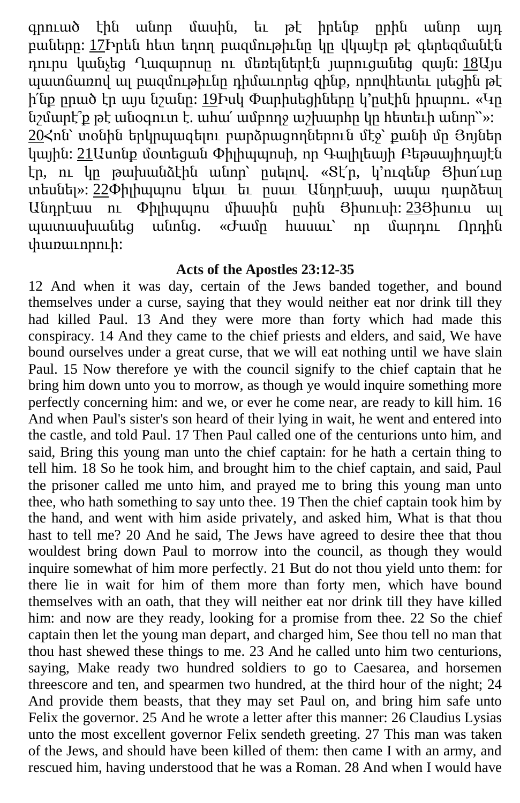գրուած էին անոր մասին, եւ թէ իրենք ըրին անոր այդ բաները: [17Ի](https://biblehub.com/multi/john/12-17.htm)րեն հետ եղող բազմութիւնը կը վկայէր թէ գերեզմանէն դուրս կանչեց Ղազարոսը ու մեռելներէն յարուցանեց զայն: [18Ա](https://biblehub.com/multi/john/12-18.htm)յս պատճառով ալ բազմութիւնը դիմաւորեց զինք, որովհետեւ լսեցին թէ ի'նք ըրած էր այս նշանը: [19Ի](https://biblehub.com/multi/john/12-19.htm)սկ Փարիսեցիները կ'ըսէին իրարու. «Կը նշմարէ՞ք թէ անօգուտ է. ահա՛ ամբողջ աշխարհը կը հետեւի անոր՝՝»: [20Հ](https://biblehub.com/multi/john/12-20.htm)ոն՝ տօնին երկրպագելու բարձրացողներուն մէջ՝ քանի մը Յոյներ կային: [21Ա](https://biblehub.com/multi/john/12-21.htm)սոնք մօտեցան Փիլիպպոսի, որ Գալիլեայի Բեթսայիդայէն էր, ու կը թախանձէին անոր՝ ըսելով. «Տէ՛ր, կ՚ուզենք Յիսո՛ւսը տեսնել»: [22Փ](https://biblehub.com/multi/john/12-22.htm)իլիպպոս եկաւ եւ ըսաւ Անդրէասի, ապա դարձեալ Անդրէաս ու Փիլիպպոս միասին ըսին Յիսուսի: [23Յ](https://biblehub.com/multi/john/12-23.htm)իսուս ալ պատասխանեց անոնց. «Ժամը հասաւ՝ որ մարդու Որդին փառաւորուի:

#### **Acts of the Apostles 23:12-35**

12 And when it was day, certain of the Jews banded together, and bound themselves under a curse, saying that they would neither eat nor drink till they had killed Paul. 13 And they were more than forty which had made this conspiracy. 14 And they came to the chief priests and elders, and said, We have bound ourselves under a great curse, that we will eat nothing until we have slain Paul. 15 Now therefore ye with the council signify to the chief captain that he bring him down unto you to morrow, as though ye would inquire something more perfectly concerning him: and we, or ever he come near, are ready to kill him. 16 And when Paul's sister's son heard of their lying in wait, he went and entered into the castle, and told Paul. 17 Then Paul called one of the centurions unto him, and said, Bring this young man unto the chief captain: for he hath a certain thing to tell him. 18 So he took him, and brought him to the chief captain, and said, Paul the prisoner called me unto him, and prayed me to bring this young man unto thee, who hath something to say unto thee. 19 Then the chief captain took him by the hand, and went with him aside privately, and asked him, What is that thou hast to tell me? 20 And he said, The Jews have agreed to desire thee that thou wouldest bring down Paul to morrow into the council, as though they would inquire somewhat of him more perfectly. 21 But do not thou yield unto them: for there lie in wait for him of them more than forty men, which have bound themselves with an oath, that they will neither eat nor drink till they have killed him: and now are they ready, looking for a promise from thee. 22 So the chief captain then let the young man depart, and charged him, See thou tell no man that thou hast shewed these things to me. 23 And he called unto him two centurions, saying, Make ready two hundred soldiers to go to Caesarea, and horsemen threescore and ten, and spearmen two hundred, at the third hour of the night; 24 And provide them beasts, that they may set Paul on, and bring him safe unto Felix the governor. 25 And he wrote a letter after this manner: 26 Claudius Lysias unto the most excellent governor Felix sendeth greeting. 27 This man was taken of the Jews, and should have been killed of them: then came I with an army, and rescued him, having understood that he was a Roman. 28 And when I would have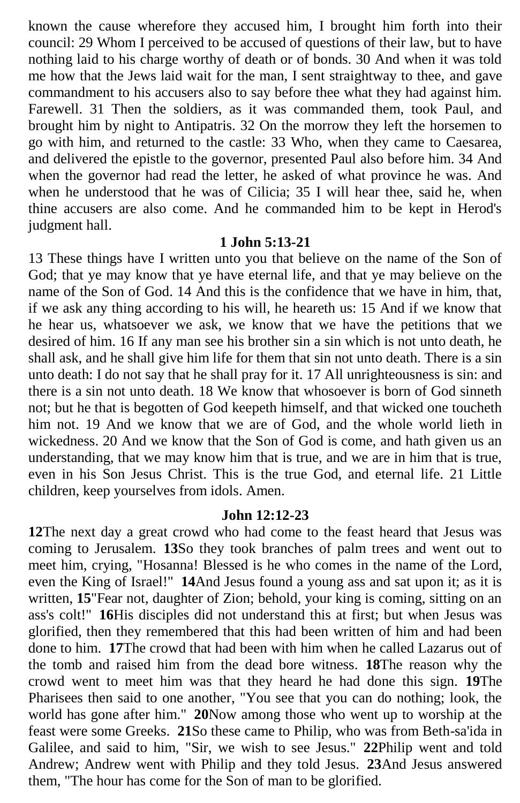known the cause wherefore they accused him, I brought him forth into their council: 29 Whom I perceived to be accused of questions of their law, but to have nothing laid to his charge worthy of death or of bonds. 30 And when it was told me how that the Jews laid wait for the man, I sent straightway to thee, and gave commandment to his accusers also to say before thee what they had against him. Farewell. 31 Then the soldiers, as it was commanded them, took Paul, and brought him by night to Antipatris. 32 On the morrow they left the horsemen to go with him, and returned to the castle: 33 Who, when they came to Caesarea, and delivered the epistle to the governor, presented Paul also before him. 34 And when the governor had read the letter, he asked of what province he was. And when he understood that he was of Cilicia; 35 I will hear thee, said he, when thine accusers are also come. And he commanded him to be kept in Herod's judgment hall.

#### **1 John 5:13-21**

13 These things have I written unto you that believe on the name of the Son of God; that ye may know that ye have eternal life, and that ye may believe on the name of the Son of God. 14 And this is the confidence that we have in him, that, if we ask any thing according to his will, he heareth us: 15 And if we know that he hear us, whatsoever we ask, we know that we have the petitions that we desired of him. 16 If any man see his brother sin a sin which is not unto death, he shall ask, and he shall give him life for them that sin not unto death. There is a sin unto death: I do not say that he shall pray for it. 17 All unrighteousness is sin: and there is a sin not unto death. 18 We know that whosoever is born of God sinneth not; but he that is begotten of God keepeth himself, and that wicked one toucheth him not. 19 And we know that we are of God, and the whole world lieth in wickedness. 20 And we know that the Son of God is come, and hath given us an understanding, that we may know him that is true, and we are in him that is true, even in his Son Jesus Christ. This is the true God, and eternal life. 21 Little children, keep yourselves from idols. Amen.

#### **John 12:12-23**

**12**The next day a great crowd who had come to the feast heard that Jesus was coming to Jerusalem. **13**So they took branches of palm trees and went out to meet him, crying, "Hosanna! Blessed is he who comes in the name of the Lord, even the King of Israel!" **14**And Jesus found a young ass and sat upon it; as it is written, **15**"Fear not, daughter of Zion; behold, your king is coming, sitting on an ass's colt!" **16**His disciples did not understand this at first; but when Jesus was glorified, then they remembered that this had been written of him and had been done to him. **17**The crowd that had been with him when he called Lazarus out of the tomb and raised him from the dead bore witness. **18**The reason why the crowd went to meet him was that they heard he had done this sign. **19**The Pharisees then said to one another, "You see that you can do nothing; look, the world has gone after him." **20**Now among those who went up to worship at the feast were some Greeks. **21**So these came to Philip, who was from Beth-sa'ida in Galilee, and said to him, "Sir, we wish to see Jesus." **22**Philip went and told Andrew; Andrew went with Philip and they told Jesus. **23**And Jesus answered them, "The hour has come for the Son of man to be glorified.